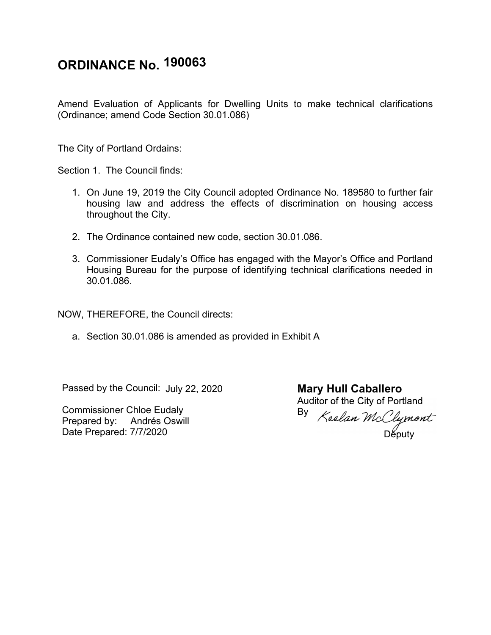## **ORDINANCE No. 190063**

Amend Evaluation of Applicants for Dwelling Units to make technical clarifications (Ordinance; amend Code Section 30.01.086)

The City of Portland Ordains:

Section 1. The Council finds:

- 1. On June 19, 2019 the City Council adopted Ordinance No. 189580 to further fair housing law and address the effects of discrimination on housing access throughout the City.
- 2. The Ordinance contained new code, section 30.01.086.
- 3. Commissioner Eudaly's Office has engaged with the Mayor's Office and Portland Housing Bureau for the purpose of identifying technical clarifications needed in 30.01.086.

NOW, THEREFORE, the Council directs:

a. Section 30.01.086 is amended as provided in Exhibit A

Passed by the Council: July 22, 2020

Commissioner Chloe Eudaly Prepared by: Andrés Oswill Date Prepared: 7/7/2020

**Mary Hull Caballero** Auditor of the City of Portland By

Députy